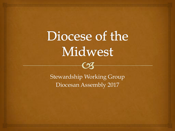# Diocese of the Midwest



Stewardship Working Group Diocesan Assembly 2017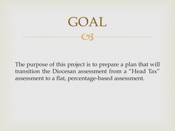

The purpose of this project is to prepare a plan that will transition the Diocesan assessment from a "Head Tax" assessment to a flat, percentage-based assessment.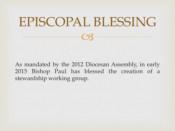# 08 EPISCOPAL BLESSING

As mandated by the 2012 Diocesan Assembly, in early 2015 Bishop Paul has blessed the creation of a stewardship working group.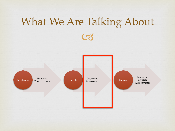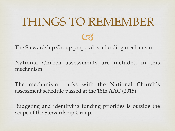#### THINGS TO REMEMBER

08

The Stewardship Group proposal is a funding mechanism.

National Church assessments are included in this mechanism.

The mechanism tracks with the National Church's assessment schedule passed at the 18th AAC (2015).

Budgeting and identifying funding priorities is outside the scope of the Stewardship Group.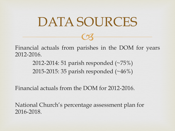#### DATA SOURCES

Financial actuals from parishes in the DOM for years 2012-2016.

08

2012-2014: 51 parish responded (~75%) 2015-2015: 35 parish responded (~46%)

Financial actuals from the DOM for 2012-2016.

National Church's percentage assessment plan for 2016-2018.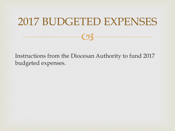#### 2017 BUDGETED EXPENSES

08

Instructions from the Diocesan Authority to fund 2017 budgeted expenses.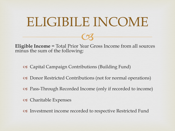#### ELIGIBILE INCOME

08

**Eligible Income** = Total Prior Year Gross Income from all sources minus the sum of the following:

- ! Capital Campaign Contributions (Building Fund)
- ! Donor Restricted Contributions (not for normal operations)
- ! Pass-Through Recorded Income (only if recorded to income)
- ! Charitable Expenses
- ! Investment income recorded to respective Restricted Fund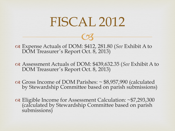08

# Expense Actuals of DOM: \$412, 281.80 (*See* Exhibit A to DOM Treasurer's Report Oct. 8, 2013)

# Assessment Actuals of DOM: \$439,632.35 (*See* Exhibit A to DOM Treasurer's Report Oct. 8, 2013)

 $\alpha$  Gross Income of DOM Parishes: ~ \$8,957,990 (calculated by Stewardship Committee based on parish submissions)

os Eligible Income for Assessment Calculation: ~\$7,293,300 (calculated by Stewardship Committee based on parish submissions)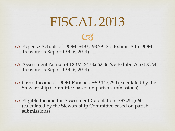08

# Expense Actuals of DOM: \$483,198.79 (*See* Exhibit A to DOM Treasurer's Report Oct. 6, 2014)

- # Assessment Actual of DOM: \$438,662.06 *See* Exhibit A to DOM Treasurer's Report Oct. 6, 2014)
- $\alpha$  Gross Income of DOM Parishes: ~\$9,147,250 (calculated by the Stewardship Committee based on parish submissions)
- $\alpha$  Eligible Income for Assessment Calculation: ~\$7,251,660 (calculated by the Stewardship Committee based on parish submissions)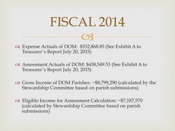08

 $\alpha$  Expense Actuals of DOM: \$532,868.85 (See Exhibit A to Treasurer's Report July 20, 2015)

- $\alpha$  Assessment Actuals of DOM: \$438,549.53 (See Exhibit A to Treasurer's Report July 20, 2015)
- $\alpha$  Gross Income of DOM Parishes: ~\$8,799,290 (calculated by the Stewardship Committee based on parish submissions)
- $\alpha$  Eligible Income for Assessment Calculation: ~\$7,187,570 (calculated by Stewardship Committee based on parish submissions)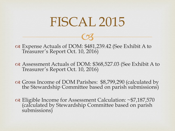08

 $\alpha$  Expense Actuals of DOM: \$481,239.42 (See Exhibit A to Treasurer's Report Oct. 10, 2016)

 $\alpha$  Assessment Actuals of DOM: \$368,527.03 (See Exhibit A to Treasurer's Report Oct. 10, 2016)

 $\alpha$  Gross Income of DOM Parishes: \$8,799,290 (calculated by the Stewardship Committee based on parish submissions)

 $\alpha$  Eligible Income for Assessment Calculation: ~\$7,187,570 (calculated by Stewardship Committee based on parish submissions)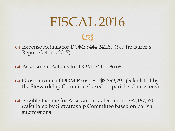08

 $\alpha$  Expense Actuals for DOM: \$444,242.87 (*See* Treasurer's Report Oct. 11, 2017)

 $\alpha$  Assessment Actuals for DOM: \$415,596.68

 $\alpha$  Gross Income of DOM Parishes: \$8,799,290 (calculated by the Stewardship Committee based on parish submissions)

 $\alpha$  Eligible Income for Assessment Calculation: ~\$7,187,570 (calculated by Stewardship Committee based on parish submissions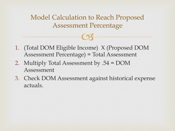Model Calculation to Reach Proposed Assessment Percentage

08

- 1. (Total DOM Eligible Income) X (Proposed DOM Assessment Percentage) = Total Assessment
- 2. Multiply Total Assessment by .54 = DOM Assessment
- 3. Check DOM Assessment against historical expense actuals.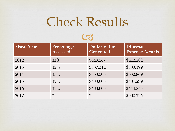## Check Results

 $\bigcap$ 

| <b>Fiscal Year</b> | Percentage<br>Assessed | <b>Dollar Value</b><br><b>Generated</b> | Diocesan<br><b>Expense Actuals</b> |
|--------------------|------------------------|-----------------------------------------|------------------------------------|
| 2012               | 11%                    | \$449,267                               | \$412,282                          |
| 2013               | 12%                    | \$487,312                               | \$483,199                          |
| 2014               | 15%                    | \$563,505                               | \$532,869                          |
| 2015               | 12%                    | \$483,005                               | \$481,239                          |
| 2016               | 12%                    | \$483,005                               | \$444,243                          |
| 2017               |                        | ?                                       | \$500,126                          |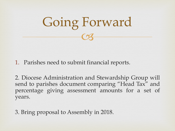

1. Parishes need to submit financial reports.

2. Diocese Administration and Stewardship Group will send to parishes document comparing "Head Tax" and percentage giving assessment amounts for a set of years.

3. Bring proposal to Assembly in 2018.